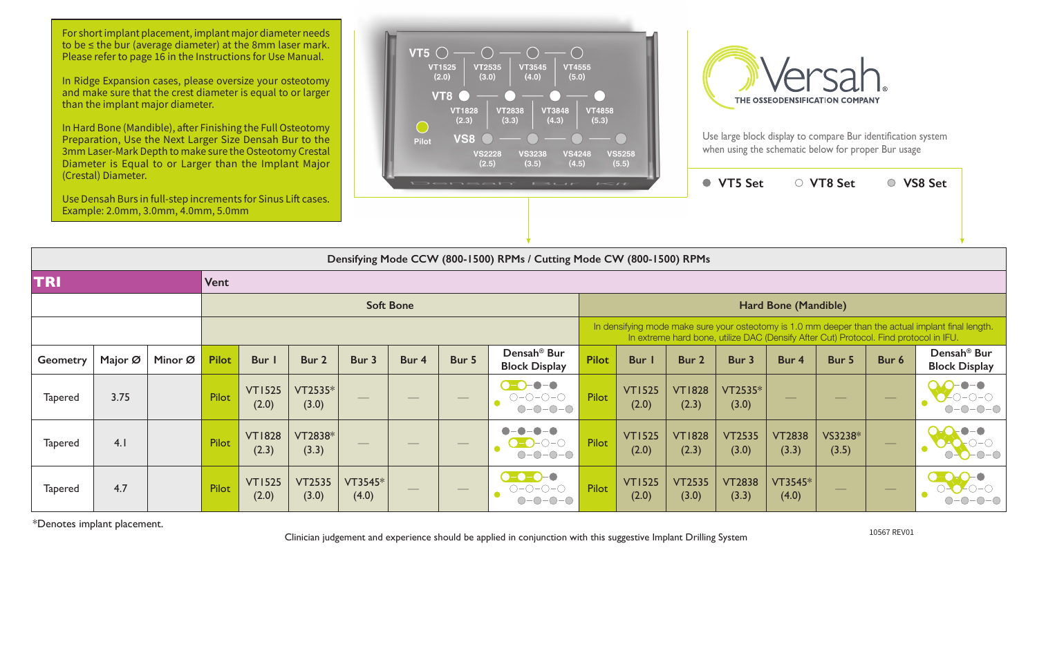| (Clestal) Didificiei.<br>Use Densah Burs in full-step increments for Sinus Lift cases.<br>Example: 2.0mm, 3.0mm, 4.0mm, 5.0mm |                                                                       |         |              |                        |                        |                  |                  |                               | Densah' Bur                                                        | $L \leq t$   |                        |                                                                                                                                                                                             | ● VT5 Set              |                        | ○ VT8 Set         |                    | ○ VS8 Set                                       |  |  |  |  |
|-------------------------------------------------------------------------------------------------------------------------------|-----------------------------------------------------------------------|---------|--------------|------------------------|------------------------|------------------|------------------|-------------------------------|--------------------------------------------------------------------|--------------|------------------------|---------------------------------------------------------------------------------------------------------------------------------------------------------------------------------------------|------------------------|------------------------|-------------------|--------------------|-------------------------------------------------|--|--|--|--|
|                                                                                                                               | Densifying Mode CCW (800-1500) RPMs / Cutting Mode CW (800-1500) RPMs |         |              |                        |                        |                  |                  |                               |                                                                    |              |                        |                                                                                                                                                                                             |                        |                        |                   |                    |                                                 |  |  |  |  |
| <b>TRI</b><br><b>Vent</b>                                                                                                     |                                                                       |         |              |                        |                        |                  |                  |                               |                                                                    |              |                        |                                                                                                                                                                                             |                        |                        |                   |                    |                                                 |  |  |  |  |
|                                                                                                                               |                                                                       |         |              |                        |                        |                  | <b>Soft Bone</b> |                               |                                                                    |              |                        | Hard Bone (Mandible)                                                                                                                                                                        |                        |                        |                   |                    |                                                 |  |  |  |  |
|                                                                                                                               |                                                                       |         |              |                        |                        |                  |                  |                               |                                                                    |              |                        | In densifying mode make sure your osteotomy is 1.0 mm deeper than the actual implant final length.<br>In extreme hard bone, utilize DAC (Densify After Cut) Protocol. Find protocol in IFU. |                        |                        |                   |                    |                                                 |  |  |  |  |
| <b>Geometry</b>                                                                                                               | Major Ø                                                               | Minor Ø | <b>Pilot</b> | Bur I                  | Bur 2                  | Bur 3            | Bur 4            | Bur 5                         | Densah <sup>®</sup> Bur<br><b>Block Display</b>                    | <b>Pilot</b> | Bur I                  | Bur 2                                                                                                                                                                                       | Bur 3                  | Bur 4                  | Bur 5             | Bur 6              | Densah <sup>®</sup> Bur<br><b>Block Display</b> |  |  |  |  |
| <b>Tapered</b>                                                                                                                | 3.75                                                                  |         | Pilot        | <b>VT1525</b><br>(2.0) | VT2535*<br>(3.0)       |                  |                  |                               | $\bullet$ - $\bullet$<br>$\bullet$ -O<br>$O-O-O-O-O$<br>$O-O-O-O-$ | Pilot        | <b>VT1525</b><br>(2.0) | <b>VT1828</b><br>(2.3)                                                                                                                                                                      | VT2535*<br>(3.0)       |                        |                   |                    |                                                 |  |  |  |  |
| <b>Tapered</b>                                                                                                                | 4.1                                                                   |         | Pilot        | <b>VT1828</b><br>(2.3) | VT2838*<br>(3.3)       |                  |                  | $\overbrace{\phantom{13333}}$ | $-0-0-0$<br>◯-                                                     | Pilot        | <b>VT1525</b><br>(2.0) | <b>VT1828</b><br>(2.3)                                                                                                                                                                      | <b>VT2535</b><br>(3.0) | <b>VT2838</b><br>(3.3) | VS3238*<br>(3.5)  | $\hspace{0.1cm} -$ |                                                 |  |  |  |  |
| <b>Tapered</b>                                                                                                                | 4.7                                                                   |         | Pilot        | <b>VT1525</b><br>(2.0) | <b>VT2535</b><br>(3.0) | VT3545*<br>(4.0) |                  |                               |                                                                    | Pilot        | <b>VT1525</b><br>(2.0) | <b>VT2535</b><br>(3.0)                                                                                                                                                                      | <b>VT2838</b><br>(3.3) | VT3545*<br>(4.0)       | $\hspace{0.05cm}$ | $\hspace{0.05cm}$  |                                                 |  |  |  |  |

\*Denotes implant placement. 10567 REV01 Clinician judgement and experience should be applied in conjunction with this suggestive Implant Drilling System

For short implant placement, implant major diameter needs to be ≤ the bur (average diameter) at the 8mm laser mark. Please refer to page 16 in the Instructions for Use Manual.

In Ridge Expansion cases, please oversize your osteotomy and make sure that the crest diameter is equal to or larger than the implant major diameter.

In Hard Bone (Mandible), after Finishing the Full Osteotomy Preparation, Use the Next Larger Size Densah Bur to the 3mm Laser-Mark Depth to make sure the Osteotomy Crestal Diameter is Equal to or Larger than the Implant Major (Crestal) Diameter.





Use large block display to compare Bur identification system when using the schematic below for proper Bur usage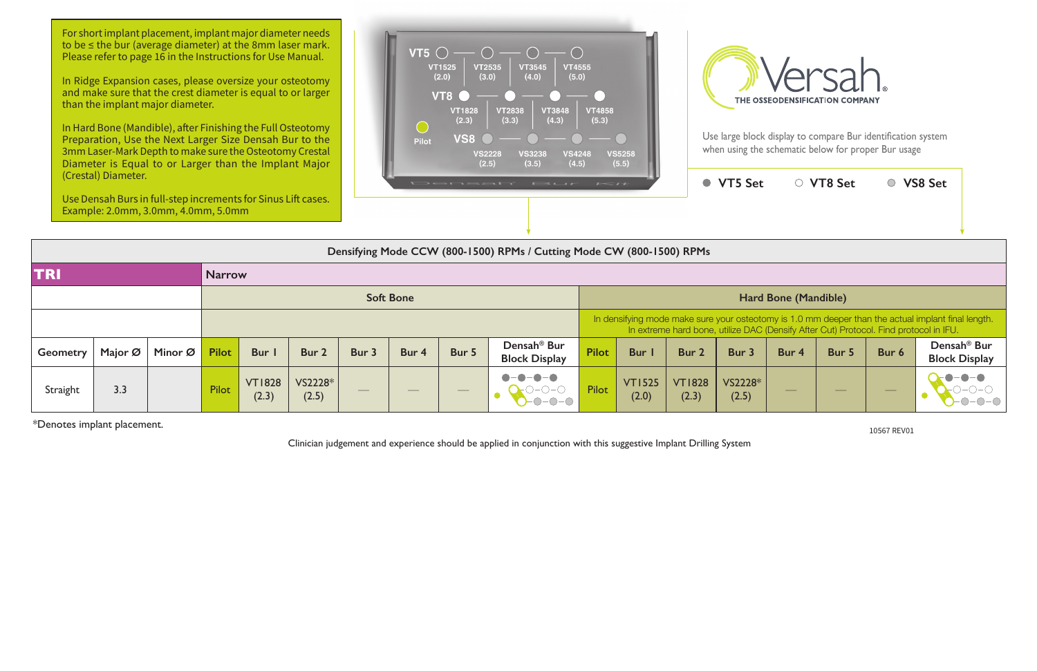In Hard Bone (Mandible), after Finishing the Full Osteotomy Preparation, Use the Next Larger Size Densah Bur to the 3mm Laser-Mark Depth to make sure the Osteotomy Crestal Diameter is Equal to or Larger than the Implant Major

\*Denotes implant placement. 10567 REV01

Clinician judgement and experience should be applied in conjunction with this suggestive Implant Drilling System

|                             | (Crestal) Diameter.<br>Use Densah Burs in full-step increments for Sinus Lift cases.<br>Example: 2.0mm, 3.0mm, 4.0mm, 5.0mm |         |              |                        |                  | Densah' Bur<br>$I = I$ |       |                  |                                                                                                                                                                                             |              |                        |                        | ● VT5 Set            |                                | ○ VT8 Set                      |       | ○ VS8 Set                                       |  |  |  |  |
|-----------------------------|-----------------------------------------------------------------------------------------------------------------------------|---------|--------------|------------------------|------------------|------------------------|-------|------------------|---------------------------------------------------------------------------------------------------------------------------------------------------------------------------------------------|--------------|------------------------|------------------------|----------------------|--------------------------------|--------------------------------|-------|-------------------------------------------------|--|--|--|--|
|                             | Densifying Mode CCW (800-1500) RPMs / Cutting Mode CW (800-1500) RPMs                                                       |         |              |                        |                  |                        |       |                  |                                                                                                                                                                                             |              |                        |                        |                      |                                |                                |       |                                                 |  |  |  |  |
| <b>TRI</b><br><b>Narrow</b> |                                                                                                                             |         |              |                        |                  |                        |       |                  |                                                                                                                                                                                             |              |                        |                        |                      |                                |                                |       |                                                 |  |  |  |  |
|                             |                                                                                                                             |         |              |                        | <b>Soft Bone</b> |                        |       |                  |                                                                                                                                                                                             |              |                        |                        | Hard Bone (Mandible) |                                |                                |       |                                                 |  |  |  |  |
|                             |                                                                                                                             |         |              |                        |                  |                        |       |                  | In densifying mode make sure your osteotomy is 1.0 mm deeper than the actual implant final length.<br>In extreme hard bone, utilize DAC (Densify After Cut) Protocol. Find protocol in IFU. |              |                        |                        |                      |                                |                                |       |                                                 |  |  |  |  |
| <b>Geometry</b>             | Major Ø                                                                                                                     | Minor Ø | <b>Pilot</b> | Bur I                  | Bur 2            | Bur 3                  | Bur 4 | Bur 5            | Densah <sup>®</sup> Bur<br><b>Block Display</b>                                                                                                                                             | <b>Pilot</b> | <b>Bur</b> I           | Bur 2                  | Bur 3                | Bur 4                          | Bur 5                          | Bur 6 | Densah <sup>®</sup> Bur<br><b>Block Display</b> |  |  |  |  |
| Straight                    | 3.3                                                                                                                         |         | <b>Pilot</b> | <b>VT1828</b><br>(2.3) | VS2228*<br>(2.5) |                        |       | $\hspace{0.1cm}$ |                                                                                                                                                                                             | Pilot        | <b>VT1525</b><br>(2.0) | <b>VT1828</b><br>(2.3) | VS2228*<br>(2.5)     | $\overbrace{\hspace{25mm}}^{}$ | $\overbrace{\hspace{25mm}}^{}$ |       |                                                 |  |  |  |  |

For short implant placement, implant major diameter needs to be ≤ the bur (average diameter) at the 8mm laser mark. Please refer to page 16 in the Instructions for Use Manual.

In Ridge Expansion cases, please oversize your osteotomy and make sure that the crest diameter is equal to or larger than the implant major diameter.





Use large block display to compare Bur identification system when using the schematic below for proper Bur usage